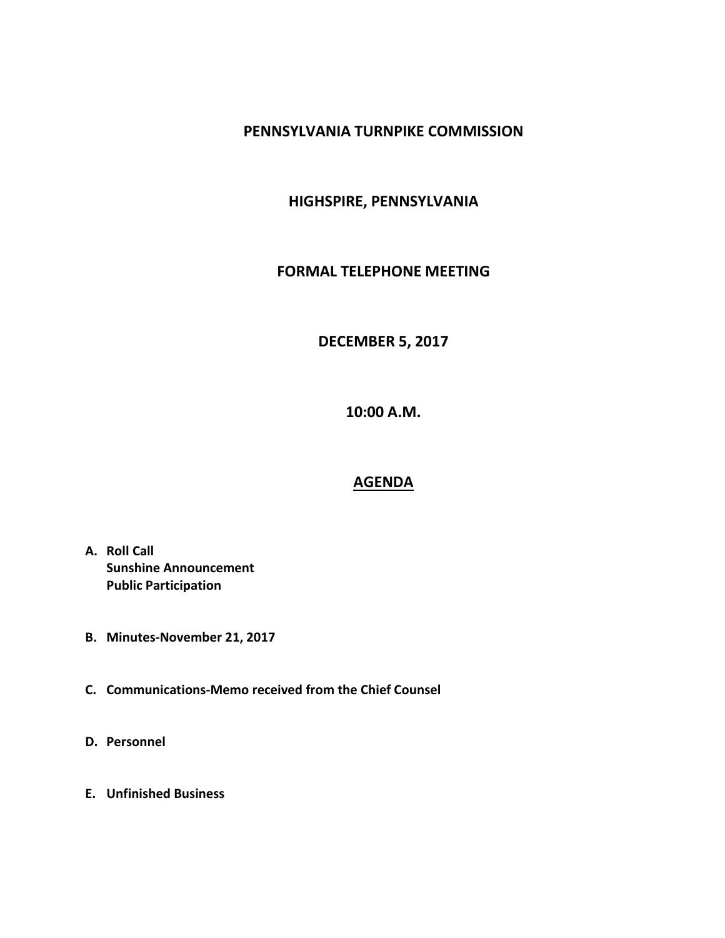## **PENNSYLVANIA TURNPIKE COMMISSION**

# **HIGHSPIRE, PENNSYLVANIA**

#### **FORMAL TELEPHONE MEETING**

### **DECEMBER 5, 2017**

**10:00 A.M.**

#### **AGENDA**

- **A. Roll Call Sunshine Announcement Public Participation**
- **B. Minutes-November 21, 2017**
- **C. Communications-Memo received from the Chief Counsel**
- **D. Personnel**
- **E. Unfinished Business**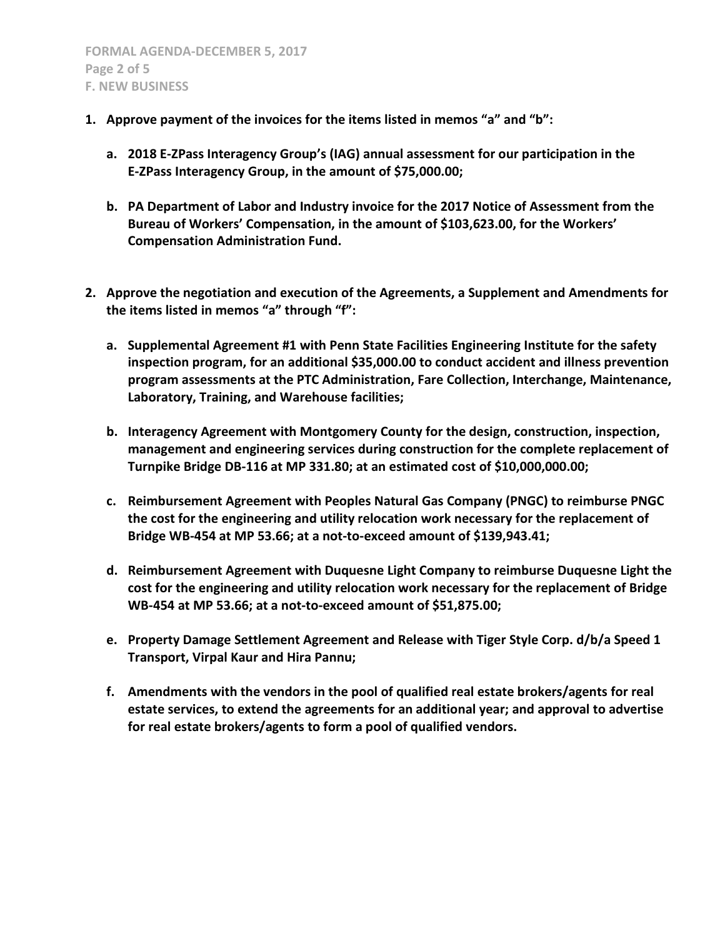- **1. Approve payment of the invoices for the items listed in memos "a" and "b":**
	- **a. 2018 E-ZPass Interagency Group's (IAG) annual assessment for our participation in the E-ZPass Interagency Group, in the amount of \$75,000.00;**
	- **b. PA Department of Labor and Industry invoice for the 2017 Notice of Assessment from the Bureau of Workers' Compensation, in the amount of \$103,623.00, for the Workers' Compensation Administration Fund.**
- **2. Approve the negotiation and execution of the Agreements, a Supplement and Amendments for the items listed in memos "a" through "f":**
	- **a. Supplemental Agreement #1 with Penn State Facilities Engineering Institute for the safety inspection program, for an additional \$35,000.00 to conduct accident and illness prevention program assessments at the PTC Administration, Fare Collection, Interchange, Maintenance, Laboratory, Training, and Warehouse facilities;**
	- **b. Interagency Agreement with Montgomery County for the design, construction, inspection, management and engineering services during construction for the complete replacement of Turnpike Bridge DB-116 at MP 331.80; at an estimated cost of \$10,000,000.00;**
	- **c. Reimbursement Agreement with Peoples Natural Gas Company (PNGC) to reimburse PNGC the cost for the engineering and utility relocation work necessary for the replacement of Bridge WB-454 at MP 53.66; at a not-to-exceed amount of \$139,943.41;**
	- **d. Reimbursement Agreement with Duquesne Light Company to reimburse Duquesne Light the cost for the engineering and utility relocation work necessary for the replacement of Bridge WB-454 at MP 53.66; at a not-to-exceed amount of \$51,875.00;**
	- **e. Property Damage Settlement Agreement and Release with Tiger Style Corp. d/b/a Speed 1 Transport, Virpal Kaur and Hira Pannu;**
	- **f. Amendments with the vendors in the pool of qualified real estate brokers/agents for real estate services, to extend the agreements for an additional year; and approval to advertise for real estate brokers/agents to form a pool of qualified vendors.**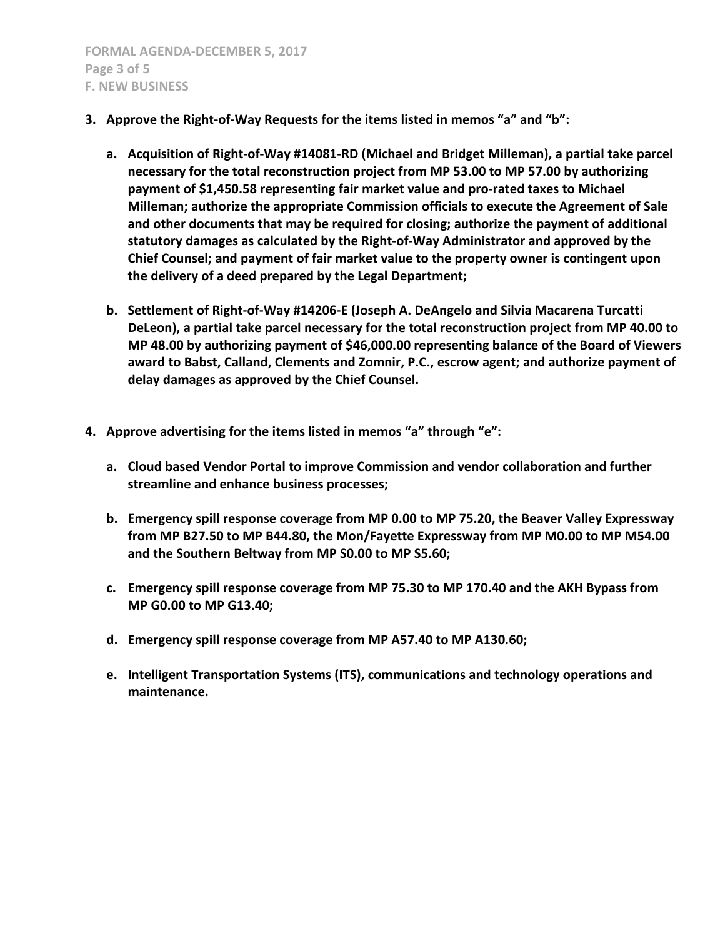- **3. Approve the Right-of-Way Requests for the items listed in memos "a" and "b":**
	- **a. Acquisition of Right-of-Way #14081-RD (Michael and Bridget Milleman), a partial take parcel necessary for the total reconstruction project from MP 53.00 to MP 57.00 by authorizing payment of \$1,450.58 representing fair market value and pro-rated taxes to Michael Milleman; authorize the appropriate Commission officials to execute the Agreement of Sale and other documents that may be required for closing; authorize the payment of additional statutory damages as calculated by the Right-of-Way Administrator and approved by the Chief Counsel; and payment of fair market value to the property owner is contingent upon the delivery of a deed prepared by the Legal Department;**
	- **b. Settlement of Right-of-Way #14206-E (Joseph A. DeAngelo and Silvia Macarena Turcatti DeLeon), a partial take parcel necessary for the total reconstruction project from MP 40.00 to MP 48.00 by authorizing payment of \$46,000.00 representing balance of the Board of Viewers award to Babst, Calland, Clements and Zomnir, P.C., escrow agent; and authorize payment of delay damages as approved by the Chief Counsel.**
- **4. Approve advertising for the items listed in memos "a" through "e":**
	- **a. Cloud based Vendor Portal to improve Commission and vendor collaboration and further streamline and enhance business processes;**
	- **b. Emergency spill response coverage from MP 0.00 to MP 75.20, the Beaver Valley Expressway from MP B27.50 to MP B44.80, the Mon/Fayette Expressway from MP M0.00 to MP M54.00 and the Southern Beltway from MP S0.00 to MP S5.60;**
	- **c. Emergency spill response coverage from MP 75.30 to MP 170.40 and the AKH Bypass from MP G0.00 to MP G13.40;**
	- **d. Emergency spill response coverage from MP A57.40 to MP A130.60;**
	- **e. Intelligent Transportation Systems (ITS), communications and technology operations and maintenance.**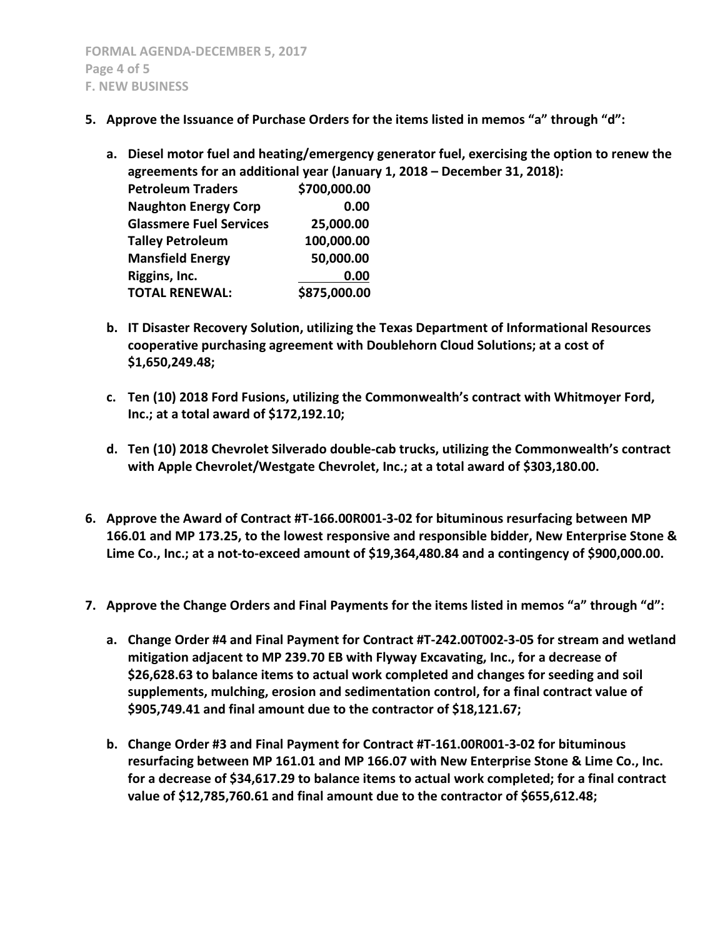- **5. Approve the Issuance of Purchase Orders for the items listed in memos "a" through "d":**
	- **a. Diesel motor fuel and heating/emergency generator fuel, exercising the option to renew the agreements for an additional year (January 1, 2018 – December 31, 2018):**

| <b>Petroleum Traders</b>       | \$700,000.00 |
|--------------------------------|--------------|
| <b>Naughton Energy Corp</b>    | 0.00         |
| <b>Glassmere Fuel Services</b> | 25,000.00    |
| <b>Talley Petroleum</b>        | 100,000.00   |
| <b>Mansfield Energy</b>        | 50,000.00    |
| Riggins, Inc.                  | 0.00         |
| <b>TOTAL RENEWAL:</b>          | \$875,000.00 |
|                                |              |

- **b. IT Disaster Recovery Solution, utilizing the Texas Department of Informational Resources cooperative purchasing agreement with Doublehorn Cloud Solutions; at a cost of \$1,650,249.48;**
- **c. Ten (10) 2018 Ford Fusions, utilizing the Commonwealth's contract with Whitmoyer Ford, Inc.; at a total award of \$172,192.10;**
- **d. Ten (10) 2018 Chevrolet Silverado double-cab trucks, utilizing the Commonwealth's contract with Apple Chevrolet/Westgate Chevrolet, Inc.; at a total award of \$303,180.00.**
- **6. Approve the Award of Contract #T-166.00R001-3-02 for bituminous resurfacing between MP 166.01 and MP 173.25, to the lowest responsive and responsible bidder, New Enterprise Stone & Lime Co., Inc.; at a not-to-exceed amount of \$19,364,480.84 and a contingency of \$900,000.00.**
- **7. Approve the Change Orders and Final Payments for the items listed in memos "a" through "d":**
	- **a. Change Order #4 and Final Payment for Contract #T-242.00T002-3-05 for stream and wetland mitigation adjacent to MP 239.70 EB with Flyway Excavating, Inc., for a decrease of \$26,628.63 to balance items to actual work completed and changes for seeding and soil supplements, mulching, erosion and sedimentation control, for a final contract value of \$905,749.41 and final amount due to the contractor of \$18,121.67;**
	- **b. Change Order #3 and Final Payment for Contract #T-161.00R001-3-02 for bituminous resurfacing between MP 161.01 and MP 166.07 with New Enterprise Stone & Lime Co., Inc. for a decrease of \$34,617.29 to balance items to actual work completed; for a final contract value of \$12,785,760.61 and final amount due to the contractor of \$655,612.48;**